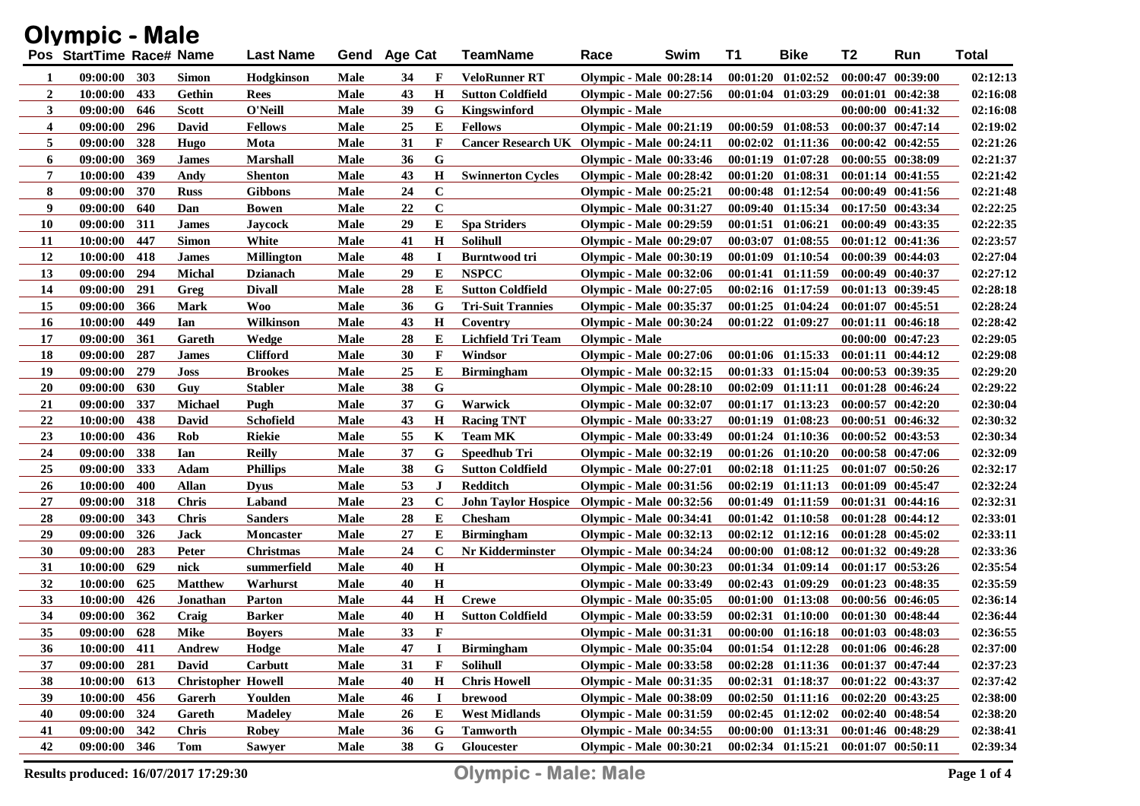| <b>Olympic - Male</b> |                          |     |                           |                   |             |                |              |                                             |                                |      |    |                                             |                       |                       |              |
|-----------------------|--------------------------|-----|---------------------------|-------------------|-------------|----------------|--------------|---------------------------------------------|--------------------------------|------|----|---------------------------------------------|-----------------------|-----------------------|--------------|
|                       | Pos StartTime Race# Name |     |                           | <b>Last Name</b>  | Gend        | <b>Age Cat</b> |              | TeamName                                    | Race                           | Swim | T1 | <b>Bike</b>                                 | T2                    | Run                   | <b>Total</b> |
| 1                     | 09:00:00                 | 303 | <b>Simon</b>              | Hodgkinson        | Male        | 34             | F            | VeloRunner RT                               | <b>Olympic - Male 00:28:14</b> |      |    | $00:01:20$ $01:02:52$                       |                       | 00:00:47 00:39:00     | 02:12:13     |
| $\boldsymbol{2}$      | 10:00:00                 | 433 | Gethin                    | Rees              | Male        | 43             | $\mathbf H$  | <b>Sutton Coldfield</b>                     | <b>Olympic - Male 00:27:56</b> |      |    | $00:01:04$ $01:03:29$                       |                       | $00:01:01$ $00:42:38$ | 02:16:08     |
| 3                     | 09:00:00                 | 646 | <b>Scott</b>              | O'Neill           | Male        | 39             | G            | Kingswinford                                | <b>Olympic - Male</b>          |      |    |                                             |                       | $00:00:00$ $00:41:32$ | 02:16:08     |
| 4                     | 09:00:00                 | 296 | David                     | <b>Fellows</b>    | Male        | 25             | Е            | <b>Fellows</b>                              | <b>Olympic - Male 00:21:19</b> |      |    | $00:00:59$ $01:08:53$                       |                       | $00:00:37$ $00:47:14$ | 02:19:02     |
| 5                     | 09:00:00                 | 328 | Hugo                      | Mota              | Male        | 31             | F            | Cancer Research UK Olympic - Male 00:24:11  |                                |      |    | $00:02:02$ $01:11:36$                       |                       | $00:00:42$ $00:42:55$ | 02:21:26     |
| 6                     | 09:00:00                 | 369 | <b>James</b>              | <b>Marshall</b>   | Male        | 36             | G            |                                             | <b>Olympic - Male 00:33:46</b> |      |    | $00:01:19$ $01:07:28$                       |                       | $00:00:55$ $00:38:09$ | 02:21:37     |
| 7                     | 10:00:00                 | 439 | Andy                      | <b>Shenton</b>    | Male        | 43             | Н            | <b>Swinnerton Cycles</b>                    | Olympic - Male 00:28:42        |      |    | $00:01:20$ $01:08:31$                       |                       | $00:01:14$ $00:41:55$ | 02:21:42     |
| 8                     | 09:00:00                 | 370 | <b>Russ</b>               | <b>Gibbons</b>    | Male        | 24             | $\bf C$      |                                             | <b>Olympic - Male 00:25:21</b> |      |    | $00:00:48$ $01:12:54$                       |                       | 00:00:49 00:41:56     | 02:21:48     |
| 9                     | 09:00:00                 | 640 | Dan                       | <b>Bowen</b>      | Male        | 22             | $\mathbf C$  |                                             | <b>Olympic - Male 00:31:27</b> |      |    | $00:09:40$ $01:15:34$                       |                       | 00:17:50 00:43:34     | 02:22:25     |
| <b>10</b>             | 09:00:00                 | 311 | <b>James</b>              | Jaycock           | Male        | 29             | Е            | <b>Spa Striders</b>                         | <b>Olympic - Male 00:29:59</b> |      |    | $00:01:51$ $01:06:21$                       |                       | $00:00:49$ $00:43:35$ | 02:22:35     |
| 11                    | 10:00:00                 | 447 | <b>Simon</b>              | White             | Male        | 41             | $\mathbf H$  | <b>Solihull</b>                             | <b>Olympic - Male 00:29:07</b> |      |    | 00:03:07 01:08:55                           |                       | 00:01:12 00:41:36     | 02:23:57     |
| 12                    | 10:00:00                 | 418 | <b>James</b>              | <b>Millington</b> | Male        | 48             | 1            | <b>Burntwood tri</b>                        | <b>Olympic - Male 00:30:19</b> |      |    | 00:01:09 01:10:54                           |                       | 00:00:39 00:44:03     | 02:27:04     |
| 13                    | 09:00:00                 | 294 | <b>Michal</b>             | <b>Dzianach</b>   | Male        | 29             | Е            | <b>NSPCC</b>                                | <b>Olympic - Male 00:32:06</b> |      |    | 00:01:41 01:11:59                           |                       | 00:00:49 00:40:37     | 02:27:12     |
| 14                    | 09:00:00                 | 291 | Greg                      | <b>Divall</b>     | Male        | 28             | Е            | <b>Sutton Coldfield</b>                     | <b>Olympic - Male 00:27:05</b> |      |    | $00:02:16$ $01:17:59$                       |                       | 00:01:13 00:39:45     | 02:28:18     |
| 15                    | 09:00:00                 | 366 | Mark                      | Woo               | Male        | 36             | G            | <b>Tri-Suit Trannies</b>                    | <b>Olympic - Male 00:35:37</b> |      |    | $00:01:25$ $01:04:24$                       |                       | 00:01:07 00:45:51     | 02:28:24     |
| <b>16</b>             | 10:00:00                 | 449 | Ian                       | Wilkinson         | Male        | 43             | $\mathbf H$  | Coventry                                    | <b>Olympic - Male 00:30:24</b> |      |    | 00:01:22 01:09:27                           |                       | 00:01:11 00:46:18     | 02:28:42     |
| 17                    | 09:00:00                 | 361 | Gareth                    | Wedge             | Male        | 28             | E            | Lichfield Tri Team                          | <b>Olympic - Male</b>          |      |    |                                             |                       | 00:00:00 00:47:23     | 02:29:05     |
| 18                    | 09:00:00                 | 287 | <b>James</b>              | <b>Clifford</b>   | Male        | 30             | F            | Windsor                                     | <b>Olympic - Male 00:27:06</b> |      |    | $00:01:06$ $01:15:33$                       |                       | $00:01:11$ $00:44:12$ | 02:29:08     |
| 19                    | 09:00:00                 | 279 | <b>Joss</b>               | <b>Brookes</b>    | Male        | 25             | E            | <b>Birmingham</b>                           | <b>Olympic - Male 00:32:15</b> |      |    | $00:01:33$ $01:15:04$                       |                       | 00:00:53 00:39:35     | 02:29:20     |
| <b>20</b>             | 09:00:00                 | 630 | Guy                       | <b>Stabler</b>    | Male        | 38             | G            |                                             | <b>Olympic - Male 00:28:10</b> |      |    | $00:02:09$ $01:11:11$                       |                       | 00:01:28 00:46:24     | 02:29:22     |
| 21                    | 09:00:00                 | 337 | <b>Michael</b>            | Pugh              | Male        | 37             | G            | Warwick                                     | <b>Olympic - Male 00:32:07</b> |      |    | 00:01:17 01:13:23                           |                       | 00:00:57 00:42:20     | 02:30:04     |
| 22                    | 10:00:00                 | 438 | David                     | <b>Schofield</b>  | Male        | 43             | $\mathbf H$  | <b>Racing TNT</b>                           | <b>Olympic - Male 00:33:27</b> |      |    | 00:01:19 01:08:23                           |                       | 00:00:51 00:46:32     | 02:30:32     |
| 23                    | 10:00:00                 | 436 | Rob                       | <b>Riekie</b>     | Male        | 55             | K            | <b>Team MK</b>                              | <b>Olympic - Male 00:33:49</b> |      |    | $00:01:24$ $01:10:36$                       |                       | $00:00:52$ $00:43:53$ | 02:30:34     |
| 24                    | 09:00:00                 | 338 | Ian                       | <b>Reilly</b>     | Male        | 37             | G            | Speedhub Tri                                | <b>Olympic - Male 00:32:19</b> |      |    | 00:01:26 01:10:20                           |                       | 00:00:58 00:47:06     | 02:32:09     |
| 25                    | 09:00:00                 | 333 | Adam                      | <b>Phillips</b>   | Male        | 38             | G            | <b>Sutton Coldfield</b>                     | <b>Olympic - Male 00:27:01</b> |      |    | $00:02:18$ $01:11:25$                       |                       | 00:01:07 00:50:26     | 02:32:17     |
| 26                    | 10:00:00                 | 400 | <b>Allan</b>              | Dvus              | Male        | 53             | J            | Redditch                                    | <b>Olympic - Male 00:31:56</b> |      |    | $00:02:19$ $01:11:13$                       | 00:01:09 00:45:47     |                       | 02:32:24     |
| 27                    | 09:00:00                 | 318 | <b>Chris</b>              | Laband            | Male        | 23             | $\mathbf C$  | John Taylor Hospice Olympic - Male 00:32:56 |                                |      |    | $00:01:49$ $01:11:59$                       |                       | 00:01:31 00:44:16     | 02:32:31     |
| 28                    | 09:00:00                 | 343 | <b>Chris</b>              | <b>Sanders</b>    | Male        | 28             | E            | <b>Chesham</b>                              | <b>Olympic - Male 00:34:41</b> |      |    | $00:01:42$ $01:10:58$                       |                       | $00:01:28$ $00:44:12$ | 02:33:01     |
| 29                    | 09:00:00                 | 326 | <b>Jack</b>               | <b>Moncaster</b>  | Male        | 27             | E            | <b>Birmingham</b>                           | <b>Olympic - Male 00:32:13</b> |      |    | $00:02:12$ $01:12:16$                       |                       | $00:01:28$ $00:45:02$ | 02:33:11     |
| 30                    | 09:00:00                 | 283 | Peter                     | <b>Christmas</b>  | Male        | 24             | $\mathbf C$  | Nr Kidderminster                            | <b>Olympic - Male 00:34:24</b> |      |    | $00:00:00$ $01:08:12$                       |                       | 00:01:32 00:49:28     | 02:33:36     |
| 31                    | 10:00:00                 | 629 | nick                      | summerfield       | Male        | 40             | $\, {\bf H}$ |                                             | <b>Olympic - Male 00:30:23</b> |      |    | 00:01:34 01:09:14                           |                       | 00:01:17 00:53:26     | 02:35:54     |
| 32                    | 10:00:00                 | 625 | <b>Matthew</b>            | Warhurst          | Male        | 40             | $\mathbf H$  |                                             | <b>Olympic - Male 00:33:49</b> |      |    | $00:02:43$ $01:09:29$                       |                       | $00:01:23$ $00:48:35$ | 02:35:59     |
| 33                    | 10:00:00                 | 426 | Jonathan                  | <b>Parton</b>     | Male        | 44             | H            | <b>Crewe</b>                                | <b>Olympic - Male 00:35:05</b> |      |    | $00:01:00$ $01:13:08$                       |                       | 00:00:56 00:46:05     | 02:36:14     |
| 34                    | 09:00:00                 | 362 | Craig                     | <b>Barker</b>     | Male        | 40             | Н            | <b>Sutton Coldfield</b>                     | <b>Olympic - Male 00:33:59</b> |      |    | $00:02:31$ $01:10:00$                       |                       | 00:01:30 00:48:44     | 02:36:44     |
| 35                    | 09:00:00 628             |     | Mike                      | <b>Boyers</b>     | Male        | 33             | F            |                                             | <b>Olympic - Male 00:31:31</b> |      |    | 00:00:00 01:16:18 00:01:03 00:48:03         |                       |                       | 02:36:55     |
| 36                    | 10:00:00 411             |     | Andrew                    | Hodge             | Male        | 47             | 1            | <b>Birmingham</b>                           | <b>Olympic - Male 00:35:04</b> |      |    | $00:01:54$ $01:12:28$ $00:01:06$ $00:46:28$ |                       |                       | 02:37:00     |
| 37                    | 09:00:00                 | 281 | David                     | Carbutt           | <b>Male</b> | 31             | F            | Solihull                                    | <b>Olympic - Male 00:33:58</b> |      |    | $00:02:28$ $01:11:36$                       |                       | 00:01:37 00:47:44     | 02:37:23     |
| 38                    | 10:00:00                 | 613 | <b>Christopher Howell</b> |                   | Male        | 40             | H            | <b>Chris Howell</b>                         | <b>Olympic - Male 00:31:35</b> |      |    | 00:02:31 01:18:37                           |                       | 00:01:22 00:43:37     | 02:37:42     |
| 39                    | 10:00:00                 | 456 | Garerh                    | Youlden           | Male        | 46             | I            | brewood                                     | <b>Olympic - Male 00:38:09</b> |      |    | $00:02:50$ $01:11:16$                       |                       | $00:02:20$ $00:43:25$ | 02:38:00     |
| 40                    | 09:00:00                 | 324 | Gareth                    | <b>Madeley</b>    | Male        | 26             | E            | <b>West Midlands</b>                        | <b>Olympic - Male 00:31:59</b> |      |    | $00:02:45$ $01:12:02$                       |                       | $00:02:40$ $00:48:54$ | 02:38:20     |
| 41                    | 09:00:00 342             |     | <b>Chris</b>              | <b>Robey</b>      | Male        | 36             | G            | <b>Tamworth</b>                             | <b>Olympic - Male 00:34:55</b> |      |    | $00:00:00$ $01:13:31$                       |                       | 00:01:46 00:48:29     | 02:38:41     |
| 42                    | 09:00:00 346             |     | Tom                       | <b>Sawyer</b>     | Male        | 38             | G            | Gloucester                                  | <b>Olympic - Male 00:30:21</b> |      |    | $00:02:34$ $01:15:21$                       | $00:01:07$ $00:50:11$ |                       | 02:39:34     |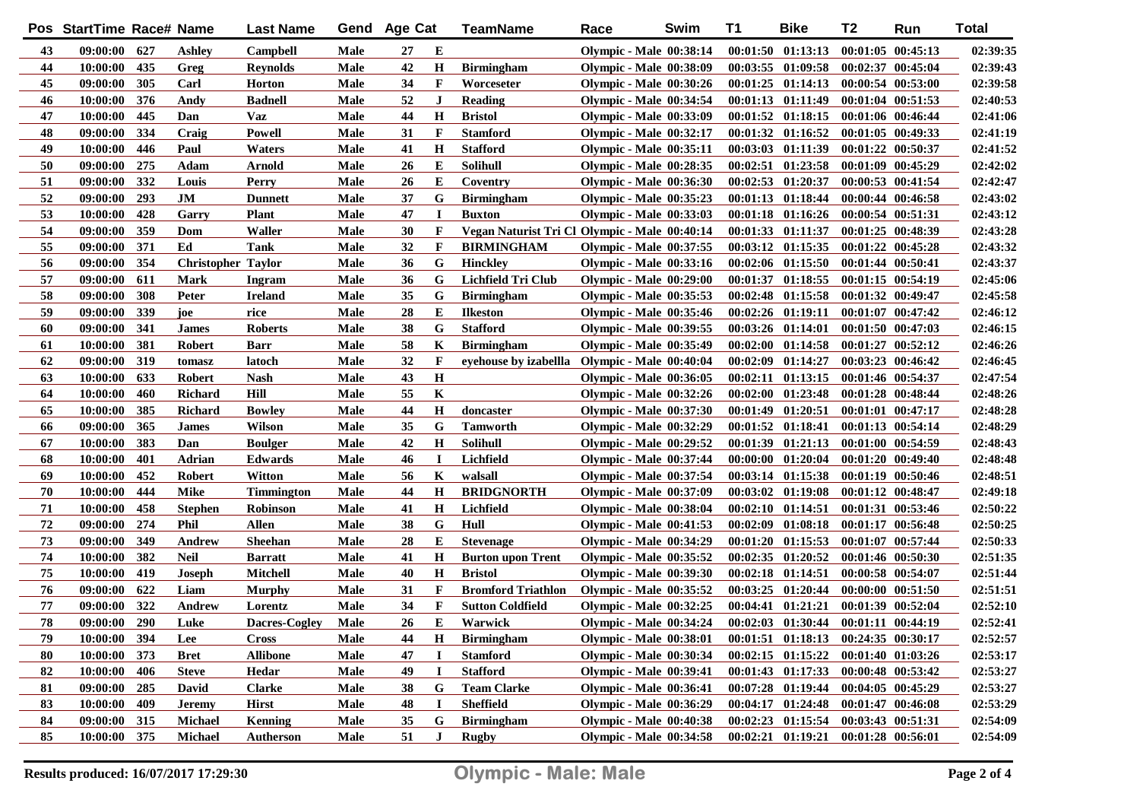|    | Pos StartTime Race# Name |     |                           | <b>Last Name</b> |      | Gend Age Cat |              | TeamName                                      | Race                           | Swim | T1 | <b>Bike</b>                         | T2                    | Run | <b>Total</b> |
|----|--------------------------|-----|---------------------------|------------------|------|--------------|--------------|-----------------------------------------------|--------------------------------|------|----|-------------------------------------|-----------------------|-----|--------------|
| 43 | 09:00:00                 | 627 | <b>Ashley</b>             | Campbell         | Male | 27           | E            |                                               | <b>Olympic - Male 00:38:14</b> |      |    | $00:01:50$ $01:13:13$               | $00:01:05$ $00:45:13$ |     | 02:39:35     |
| 44 | 10:00:00                 | 435 | Greg                      | <b>Reynolds</b>  | Male | 42           | $\mathbf H$  | <b>Birmingham</b>                             | <b>Olympic - Male 00:38:09</b> |      |    | $00:03:55$ $01:09:58$               | 00:02:37 00:45:04     |     | 02:39:43     |
| 45 | 09:00:00                 | 305 | Carl                      | <b>Horton</b>    | Male | 34           | $\mathbf F$  | Worceseter                                    | <b>Olympic - Male 00:30:26</b> |      |    | $00:01:25$ $01:14:13$               | $00:00:54$ $00:53:00$ |     | 02:39:58     |
| 46 | 10:00:00                 | 376 | Andy                      | <b>Badnell</b>   | Male | 52           | $\bf J$      | <b>Reading</b>                                | <b>Olympic - Male 00:34:54</b> |      |    | $00:01:13$ $01:11:49$               | $00:01:04$ $00:51:53$ |     | 02:40:53     |
| 47 | 10:00:00                 | 445 | Dan                       | <b>Vaz</b>       | Male | 44           | $\mathbf H$  | <b>Bristol</b>                                | <b>Olympic - Male 00:33:09</b> |      |    | $00:01:52$ $01:18:15$               | 00:01:06 00:46:44     |     | 02:41:06     |
| 48 | 09:00:00                 | 334 | Craig                     | <b>Powell</b>    | Male | 31           | $\mathbf{F}$ | <b>Stamford</b>                               | <b>Olympic - Male 00:32:17</b> |      |    | $00:01:32$ $01:16:52$               | $00:01:05$ $00:49:33$ |     | 02:41:19     |
| 49 | 10:00:00                 | 446 | Paul                      | Waters           | Male | 41           | $\mathbf H$  | <b>Stafford</b>                               | <b>Olympic - Male 00:35:11</b> |      |    | 00:03:03 01:11:39                   | 00:01:22 00:50:37     |     | 02:41:52     |
| 50 | 09:00:00                 | 275 | Adam                      | Arnold           | Male | 26           | E            | <b>Solihull</b>                               | <b>Olympic - Male 00:28:35</b> |      |    | $00:02:51$ $01:23:58$               | $00:01:09$ $00:45:29$ |     | 02:42:02     |
| 51 | 09:00:00                 | 332 | Louis                     | Perry            | Male | 26           | Е            | Coventry                                      | <b>Olympic - Male 00:36:30</b> |      |    | $00:02:53$ $01:20:37$               | 00:00:53 00:41:54     |     | 02:42:47     |
| 52 | 09:00:00                 | 293 | JM                        | <b>Dunnett</b>   | Male | 37           | G            | <b>Birmingham</b>                             | <b>Olympic - Male 00:35:23</b> |      |    | $00:01:13$ $01:18:44$               | $00:00:44$ $00:46:58$ |     | 02:43:02     |
| 53 | 10:00:00                 | 428 | Garry                     | <b>Plant</b>     | Male | 47           | $\mathbf I$  | <b>Buxton</b>                                 | <b>Olympic - Male 00:33:03</b> |      |    | $00:01:18$ $01:16:26$               | 00:00:54 00:51:31     |     | 02:43:12     |
| 54 | 09:00:00                 | 359 | Dom                       | Waller           | Male | 30           | $\mathbf F$  | Vegan Naturist Tri Cl Olympic - Male 00:40:14 |                                |      |    | 00:01:33 01:11:37                   | $00:01:25$ $00:48:39$ |     | 02:43:28     |
| 55 | 09:00:00                 | 371 | Ed                        | <b>Tank</b>      | Male | 32           | $\mathbf F$  | <b>BIRMINGHAM</b>                             | <b>Olympic - Male 00:37:55</b> |      |    | $00:03:12$ $01:15:35$               | $00:01:22$ $00:45:28$ |     | 02:43:32     |
| 56 | 09:00:00                 | 354 | <b>Christopher Taylor</b> |                  | Male | 36           | G            | <b>Hinckley</b>                               | <b>Olympic - Male 00:33:16</b> |      |    | $00:02:06$ $01:15:50$               | $00:01:44$ $00:50:41$ |     | 02:43:37     |
| 57 | 09:00:00                 | 611 | <b>Mark</b>               | Ingram           | Male | 36           | G            | Lichfield Tri Club                            | <b>Olympic - Male 00:29:00</b> |      |    | $00:01:37$ $01:18:55$               | $00:01:15$ $00:54:19$ |     | 02:45:06     |
| 58 | 09:00:00                 | 308 | Peter                     | <b>Ireland</b>   | Male | 35           | G            | <b>Birmingham</b>                             | <b>Olympic - Male 00:35:53</b> |      |    | $00:02:48$ $01:15:58$               | 00:01:32 00:49:47     |     | 02:45:58     |
| 59 | 09:00:00                 | 339 | joe                       | rice             | Male | 28           | Е            | <b>Ilkeston</b>                               | <b>Olympic - Male 00:35:46</b> |      |    | $00:02:26$ $01:19:11$               | $00:01:07$ $00:47:42$ |     | 02:46:12     |
| 60 | 09:00:00                 | 341 | <b>James</b>              | <b>Roberts</b>   | Male | 38           | G            | <b>Stafford</b>                               | <b>Olympic - Male 00:39:55</b> |      |    | $00:03:26$ $01:14:01$               | $00:01:50$ $00:47:03$ |     | 02:46:15     |
| 61 | 10:00:00                 | 381 | <b>Robert</b>             | <b>Barr</b>      | Male | 58           | K            | <b>Birmingham</b>                             | <b>Olympic - Male 00:35:49</b> |      |    | $00:02:00$ $01:14:58$               | $00:01:27$ $00:52:12$ |     | 02:46:26     |
| 62 | 09:00:00                 | 319 | tomasz                    | latoch           | Male | 32           | $\mathbf F$  | eyehouse by izabellla Olympic - Male 00:40:04 |                                |      |    | $00:02:09$ $01:14:27$               | $00:03:23$ $00:46:42$ |     | 02:46:45     |
| 63 | 10:00:00                 | 633 | <b>Robert</b>             | <b>Nash</b>      | Male | 43           | $\mathbf H$  |                                               | <b>Olympic - Male 00:36:05</b> |      |    | $00:02:11$ $01:13:15$               | $00:01:46$ $00:54:37$ |     | 02:47:54     |
| 64 | 10:00:00                 | 460 | <b>Richard</b>            | Hill             | Male | 55           | K            |                                               | <b>Olympic - Male 00:32:26</b> |      |    | $00:02:00$ $01:23:48$               | $00:01:28$ $00:48:44$ |     | 02:48:26     |
| 65 | 10:00:00                 | 385 | <b>Richard</b>            | <b>Bowley</b>    | Male | 44           | $\mathbf H$  | doncaster                                     | <b>Olympic - Male 00:37:30</b> |      |    | $00:01:49$ $01:20:51$               | $00:01:01$ $00:47:17$ |     | 02:48:28     |
| 66 | 09:00:00                 | 365 | <b>James</b>              | Wilson           | Male | 35           | G            | Tamworth                                      | <b>Olympic - Male 00:32:29</b> |      |    | $00:01:52$ $01:18:41$               | $00:01:13$ $00:54:14$ |     | 02:48:29     |
| 67 | 10:00:00                 | 383 | Dan                       | <b>Boulger</b>   | Male | 42           | $\mathbf H$  | <b>Solihull</b>                               | <b>Olympic - Male 00:29:52</b> |      |    | 00:01:39 01:21:13                   | $00:01:00$ $00:54:59$ |     | 02:48:43     |
| 68 | 10:00:00                 | 401 | Adrian                    | Edwards          | Male | 46           | $\bf{I}$     | Lichfield                                     | <b>Olympic - Male 00:37:44</b> |      |    | $00:00:00$ $01:20:04$               | $00:01:20$ $00:49:40$ |     | 02:48:48     |
| 69 | 10:00:00                 | 452 | <b>Robert</b>             | Witton           | Male | 56           | K            | walsall                                       | <b>Olympic - Male 00:37:54</b> |      |    | $00:03:14$ $01:15:38$               | $00:01:19$ $00:50:46$ |     | 02:48:51     |
| 70 | 10:00:00                 | 444 | Mike                      | Timmington       | Male | 44           | $\mathbf H$  | <b>BRIDGNORTH</b>                             | <b>Olympic - Male 00:37:09</b> |      |    | $00:03:02$ $01:19:08$               | $00:01:12$ $00:48:47$ |     | 02:49:18     |
| 71 | 10:00:00                 | 458 | <b>Stephen</b>            | <b>Robinson</b>  | Male | 41           | $\mathbf H$  | Lichfield                                     | <b>Olympic - Male 00:38:04</b> |      |    | $00:02:10$ $01:14:51$               | 00:01:31 00:53:46     |     | 02:50:22     |
| 72 | 09:00:00                 | 274 | Phil                      | Allen            | Male | 38           | G            | Hull                                          | <b>Olympic - Male 00:41:53</b> |      |    | $00:02:09$ $01:08:18$               | $00:01:17$ $00:56:48$ |     | 02:50:25     |
| 73 | 09:00:00                 | 349 | Andrew                    | <b>Sheehan</b>   | Male | 28           | E            | <b>Stevenage</b>                              | <b>Olympic - Male 00:34:29</b> |      |    | $00:01:20$ $01:15:53$               | 00:01:07 00:57:44     |     | 02:50:33     |
| 74 | 10:00:00                 | 382 | <b>Neil</b>               | <b>Barratt</b>   | Male | 41           | $\mathbf H$  | <b>Burton upon Trent</b>                      | <b>Olympic - Male 00:35:52</b> |      |    | $00:02:35$ $01:20:52$               | 00:01:46 00:50:30     |     | 02:51:35     |
| 75 | 10:00:00                 | 419 | Joseph                    | Mitchell         | Male | 40           | $\mathbf H$  | <b>Bristol</b>                                | <b>Olympic - Male 00:39:30</b> |      |    | $00:02:18$ $01:14:51$               | 00:00:58 00:54:07     |     | 02:51:44     |
| 76 | 09:00:00                 | 622 | Liam                      | <b>Murphy</b>    | Male | 31           | $\mathbf F$  | <b>Bromford Triathlon</b>                     | <b>Olympic - Male 00:35:52</b> |      |    | $00:03:25$ $01:20:44$               | 00:00:00 00:51:50     |     | 02:51:51     |
| 77 | 09:00:00                 | 322 | Andrew                    | Lorentz          | Male | 34           | $\mathbf F$  | <b>Sutton Coldfield</b>                       | <b>Olympic - Male 00:32:25</b> |      |    | $00:04:41$ $01:21:21$               | 00:01:39 00:52:04     |     | 02:52:10     |
| 78 | 09:00:00                 | 290 | Luke                      | Dacres-Cogley    | Male | 26           | Е            | Warwick                                       | <b>Olympic - Male 00:34:24</b> |      |    | $00:02:03$ $01:30:44$               | 00:01:11 00:44:19     |     | 02:52:41     |
| 79 | 10:00:00 394             |     | Lee                       | <b>Cross</b>     | Male | 44           | $\mathbf H$  | <b>Birmingham</b>                             | <b>Olympic - Male 00:38:01</b> |      |    | 00:01:51 01:18:13 00:24:35 00:30:17 |                       |     | 02:52:57     |
| 80 | 10:00:00                 | 373 | <b>Bret</b>               | <b>Allibone</b>  | Male | 47           |              | <b>Stamford</b>                               | <b>Olympic - Male 00:30:34</b> |      |    | $00:02:15$ $01:15:22$               | 00:01:40 01:03:26     |     | 02:53:17     |
| 82 | 10:00:00                 | 406 | <b>Steve</b>              | Hedar            | Male | 49           |              | <b>Stafford</b>                               | <b>Olympic - Male 00:39:41</b> |      |    | $00:01:43$ $01:17:33$               | 00:00:48 00:53:42     |     | 02:53:27     |
| 81 | 09:00:00                 | 285 | David                     | <b>Clarke</b>    | Male | 38           | G            | <b>Team Clarke</b>                            | <b>Olympic - Male 00:36:41</b> |      |    | $00:07:28$ 01:19:44                 | $00:04:05$ $00:45:29$ |     | 02:53:27     |
| 83 | 10:00:00                 | 409 | <b>Jeremy</b>             | <b>Hirst</b>     | Male | 48           | I            | <b>Sheffield</b>                              | <b>Olympic - Male 00:36:29</b> |      |    | $00:04:17$ $01:24:48$               | 00:01:47 00:46:08     |     | 02:53:29     |
| 84 | 09:00:00                 | 315 | <b>Michael</b>            | <b>Kenning</b>   | Male | 35           | G            | <b>Birmingham</b>                             | Olympic - Male 00:40:38        |      |    | $00:02:23$ $01:15:54$               | 00:03:43 00:51:31     |     | 02:54:09     |
| 85 | 10:00:00 375             |     | <b>Michael</b>            | Autherson        | Male | 51           | ${\bf J}$    | <b>Rugby</b>                                  | <b>Olympic - Male 00:34:58</b> |      |    | $00:02:21$ $01:19:21$               | $00:01:28$ $00:56:01$ |     | 02:54:09     |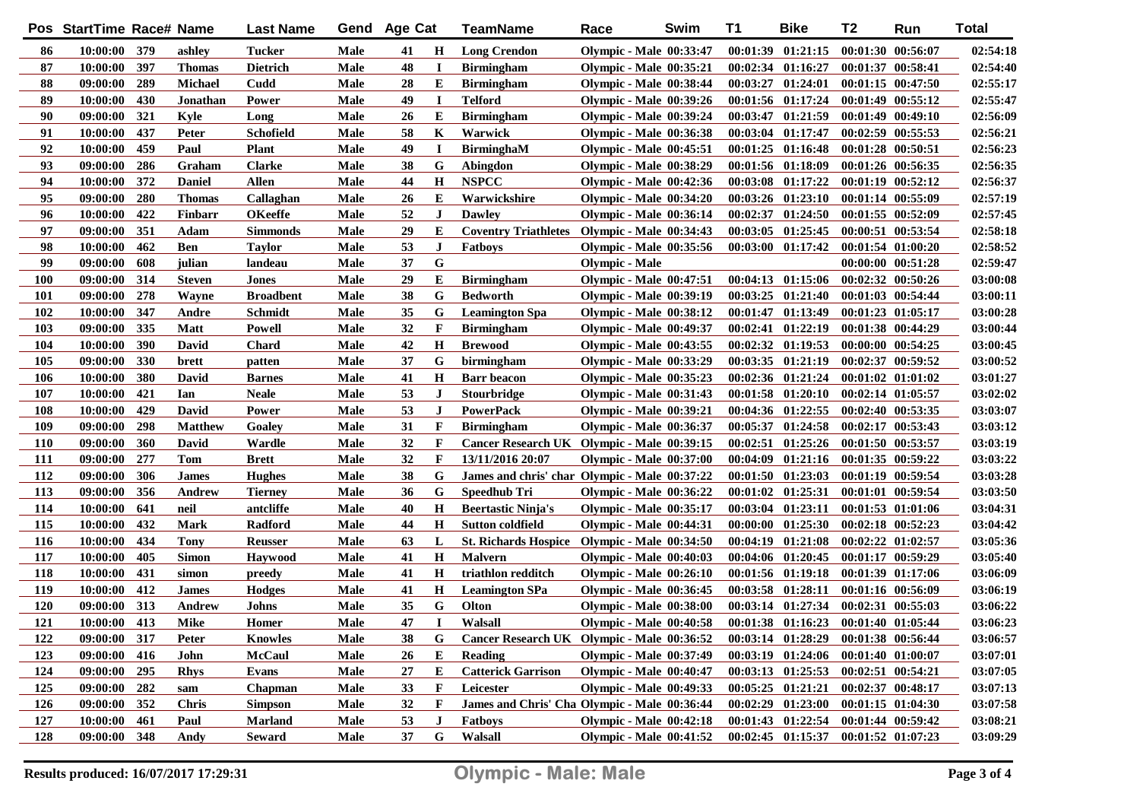|            | Pos StartTime Race# Name |            |                | <b>Last Name</b> |      | Gend Age Cat |             | <b>TeamName</b>                               | Race                           | Swim | <b>T1</b> | <b>Bike</b>           | T <sub>2</sub>        | Run                   | <b>Total</b> |
|------------|--------------------------|------------|----------------|------------------|------|--------------|-------------|-----------------------------------------------|--------------------------------|------|-----------|-----------------------|-----------------------|-----------------------|--------------|
| 86         | 10:00:00 379             |            | ashley         | Tucker           | Male | 41           | Н           | <b>Long Crendon</b>                           | <b>Olympic - Male 00:33:47</b> |      |           | $00:01:39$ $01:21:15$ | 00:01:30 00:56:07     |                       | 02:54:18     |
| 87         | 10:00:00                 | 397        | <b>Thomas</b>  | <b>Dietrich</b>  | Male | 48           | 1           | <b>Birmingham</b>                             | <b>Olympic - Male 00:35:21</b> |      |           | 00:02:34 01:16:27     | 00:01:37 00:58:41     |                       | 02:54:40     |
| 88         | 09:00:00                 | 289        | <b>Michael</b> | Cudd             | Male | 28           | Е           | <b>Birmingham</b>                             | <b>Olympic - Male 00:38:44</b> |      |           | $00:03:27$ $01:24:01$ | $00:01:15$ $00:47:50$ |                       | 02:55:17     |
| 89         | 10:00:00                 | 430        | Jonathan       | Power            | Male | 49           | П           | <b>Telford</b>                                | <b>Olympic - Male 00:39:26</b> |      |           | 00:01:56 01:17:24     | $00:01:49$ $00:55:12$ |                       | 02:55:47     |
| 90         | 09:00:00                 | 321        | Kyle           | Long             | Male | 26           | Е           | <b>Birmingham</b>                             | <b>Olympic - Male 00:39:24</b> |      |           | 00:03:47 01:21:59     | $00:01:49$ $00:49:10$ |                       | 02:56:09     |
| 91         | 10:00:00                 | 437        | Peter          | <b>Schofield</b> | Male | 58           | K           | Warwick                                       | <b>Olympic - Male 00:36:38</b> |      |           | 00:03:04 01:17:47     | $00:02:59$ $00:55:53$ |                       | 02:56:21     |
| 92         | 10:00:00                 | 459        | Paul           | <b>Plant</b>     | Male | 49           | $\mathbf I$ | BirminghaM                                    | <b>Olympic - Male 00:45:51</b> |      |           | $00:01:25$ $01:16:48$ | 00:01:28 00:50:51     |                       | 02:56:23     |
| 93         | 09:00:00                 | 286        | Graham         | <b>Clarke</b>    | Male | 38           | G           | Abingdon                                      | <b>Olympic - Male 00:38:29</b> |      |           | 00:01:56 01:18:09     |                       | 00:01:26 00:56:35     | 02:56:35     |
| 94         | 10:00:00                 | 372        | <b>Daniel</b>  | <b>Allen</b>     | Male | 44           | Н           | <b>NSPCC</b>                                  | <b>Olympic - Male 00:42:36</b> |      |           | 00:03:08 01:17:22     | $00:01:19$ $00:52:12$ |                       | 02:56:37     |
| 95         | 09:00:00                 | <b>280</b> | <b>Thomas</b>  | Callaghan        | Male | 26           | E           | Warwickshire                                  | <b>Olympic - Male 00:34:20</b> |      |           | $00:03:26$ $01:23:10$ | 00:01:14 00:55:09     |                       | 02:57:19     |
| 96         | 10:00:00                 | 422        | Finbarr        | <b>OKeeffe</b>   | Male | 52           | $\bf J$     | <b>Dawley</b>                                 | <b>Olympic - Male 00:36:14</b> |      |           | $00:02:37$ $01:24:50$ | $00:01:55$ $00:52:09$ |                       | 02:57:45     |
| 97         | 09:00:00                 | 351        | Adam           | <b>Simmonds</b>  | Male | 29           | E           | Coventry Triathletes Olympic - Male 00:34:43  |                                |      |           | $00:03:05$ $01:25:45$ | 00:00:51 00:53:54     |                       | 02:58:18     |
| 98         | 10:00:00                 | 462        | <b>Ben</b>     | <b>Taylor</b>    | Male | 53           | $\bf J$     | <b>Fatboys</b>                                | <b>Olympic - Male 00:35:56</b> |      |           | $00:03:00$ $01:17:42$ | $00:01:54$ $01:00:20$ |                       | 02:58:52     |
| 99         | 09:00:00                 | 608        | julian         | landeau          | Male | 37           | G           |                                               | <b>Olympic - Male</b>          |      |           |                       |                       | 00:00:00 00:51:28     | 02:59:47     |
| 100        | 09:00:00                 | 314        | <b>Steven</b>  | Jones            | Male | 29           | Е           | <b>Birmingham</b>                             | <b>Olympic - Male 00:47:51</b> |      |           | $00:04:13$ $01:15:06$ | 00:02:32 00:50:26     |                       | 03:00:08     |
| <b>101</b> | 09:00:00                 | 278        | Wayne          | <b>Broadbent</b> | Male | 38           | G           | <b>Bedworth</b>                               | <b>Olympic - Male 00:39:19</b> |      |           | $00:03:25$ $01:21:40$ | $00:01:03$ $00:54:44$ |                       | 03:00:11     |
| 102        | 10:00:00                 | 347        | Andre          | <b>Schmidt</b>   | Male | 35           | G           | <b>Leamington Spa</b>                         | <b>Olympic - Male 00:38:12</b> |      |           | 00:01:47 01:13:49     | 00:01:23 01:05:17     |                       | 03:00:28     |
| 103        | 09:00:00                 | 335        | <b>Matt</b>    | <b>Powell</b>    | Male | 32           | F           | <b>Birmingham</b>                             | <b>Olympic - Male 00:49:37</b> |      |           | 00:02:41 01:22:19     | 00:01:38 00:44:29     |                       | 03:00:44     |
| 104        | 10:00:00                 | 390        | <b>David</b>   | Chard            | Male | 42           | H           | <b>Brewood</b>                                | <b>Olympic - Male 00:43:55</b> |      |           | 00:02:32 01:19:53     | 00:00:00 00:54:25     |                       | 03:00:45     |
| 105        | 09:00:00                 | 330        | brett          | patten           | Male | 37           | G           | birmingham                                    | <b>Olympic - Male 00:33:29</b> |      |           | 00:03:35 01:21:19     | $00:02:37$ $00:59:52$ |                       | 03:00:52     |
| 106        | 10:00:00                 | 380        | <b>David</b>   | <b>Barnes</b>    | Male | 41           | $\mathbf H$ | <b>Barr</b> beacon                            | <b>Olympic - Male 00:35:23</b> |      |           | 00:02:36 01:21:24     | $00:01:02$ $01:01:02$ |                       | 03:01:27     |
| 107        | 10:00:00                 | 421        | Ian            | <b>Neale</b>     | Male | 53           | J           | Stourbridge                                   | <b>Olympic - Male 00:31:43</b> |      |           | $00:01:58$ $01:20:10$ |                       | $00:02:14$ $01:05:57$ | 03:02:02     |
| 108        | 10:00:00                 | 429        | <b>David</b>   | Power            | Male | 53           | J           | <b>PowerPack</b>                              | <b>Olympic - Male 00:39:21</b> |      |           | 00:04:36 01:22:55     |                       | 00:02:40 00:53:35     | 03:03:07     |
| 109        | 09:00:00                 | 298        | <b>Matthew</b> | Goaley           | Male | 31           | F           | <b>Birmingham</b>                             | <b>Olympic - Male 00:36:37</b> |      |           | 00:05:37 01:24:58     | $00:02:17$ $00:53:43$ |                       | 03:03:12     |
| <b>110</b> | 09:00:00                 | 360        | David          | Wardle           | Male | 32           | F           | Cancer Research UK Olympic - Male 00:39:15    |                                |      |           | $00:02:51$ $01:25:26$ |                       | $00:01:50$ $00:53:57$ | 03:03:19     |
| <b>111</b> | 09:00:00                 | 277        | Tom            | <b>Brett</b>     | Male | 32           | F           | 13/11/2016 20:07                              | <b>Olympic - Male 00:37:00</b> |      |           | $00:04:09$ $01:21:16$ | $00:01:35$ $00:59:22$ |                       | 03:03:22     |
| 112        | 09:00:00                 | 306        | <b>James</b>   | <b>Hughes</b>    | Male | 38           | G           | James and chris' char Olympic - Male 00:37:22 |                                |      |           | 00:01:50 01:23:03     |                       | 00:01:19 00:59:54     | 03:03:28     |
| 113        | 09:00:00                 | 356        | Andrew         | <b>Tierney</b>   | Male | 36           | G           | Speedhub Tri                                  | <b>Olympic - Male 00:36:22</b> |      |           | $00:01:02$ $01:25:31$ | $00:01:01$ $00:59:54$ |                       | 03:03:50     |
| 114        | 10:00:00                 | 641        | neil           | antcliffe        | Male | 40           | $\mathbf H$ | <b>Beertastic Ninja's</b>                     | <b>Olympic - Male 00:35:17</b> |      | 00:03:04  | 01:23:11              |                       | 00:01:53 01:01:06     | 03:04:31     |
| 115        | 10:00:00                 | 432        | <b>Mark</b>    | Radford          | Male | 44           | $\mathbf H$ | <b>Sutton coldfield</b>                       | <b>Olympic - Male 00:44:31</b> |      |           | $00:00:00$ $01:25:30$ |                       | $00:02:18$ $00:52:23$ | 03:04:42     |
| 116        | 10:00:00                 | 434        | <b>Tony</b>    | <b>Reusser</b>   | Male | 63           | L           | St. Richards Hospice Olympic - Male 00:34:50  |                                |      |           | $00:04:19$ $01:21:08$ | $00:02:22$ $01:02:57$ |                       | 03:05:36     |
| 117        | 10:00:00                 | 405        | <b>Simon</b>   | <b>Havwood</b>   | Male | 41           | $\mathbf H$ | <b>Malvern</b>                                | <b>Olympic - Male 00:40:03</b> |      |           | $00:04:06$ $01:20:45$ |                       | 00:01:17 00:59:29     | 03:05:40     |
| 118        | 10:00:00                 | 431        | simon          | preedy           | Male | 41           | $\mathbf H$ | triathlon redditch                            | Olympic - Male 00:26:10        |      |           | 00:01:56 01:19:18     | 00:01:39 01:17:06     |                       | 03:06:09     |
| 119        | 10:00:00                 | 412        | <b>James</b>   | <b>Hodges</b>    | Male | 41           | Н           | <b>Leamington SPa</b>                         | <b>Olympic - Male 00:36:45</b> |      |           | 00:03:58 01:28:11     |                       | 00:01:16 00:56:09     | 03:06:19     |
| 120        | 09:00:00                 | 313        | Andrew         | Johns            | Male | 35           | G           | Olton                                         | <b>Olympic - Male 00:38:00</b> |      |           | 00:03:14 01:27:34     | $00:02:31$ $00:55:03$ |                       | 03:06:22     |
| 121        | 10:00:00                 | 413        | Mike           | Homer            | Male | 47           | I           | Walsall                                       | <b>Olympic - Male 00:40:58</b> |      |           | $00:01:38$ $01:16:23$ | 00:01:40 01:05:44     |                       | 03:06:23     |
| 122        | 09:00:00 317             |            | <b>Peter</b>   | <b>Knowles</b>   | Male | 38           | G           | Cancer Research UK Olympic - Male 00:36:52    |                                |      |           | $00:03:14$ $01:28:29$ | 00:01:38 00:56:44     |                       | 03:06:57     |
| 123        | 09:00:00                 | 416        | John           | <b>McCaul</b>    | Male | 26           | E           | <b>Reading</b>                                | <b>Olympic - Male 00:37:49</b> |      |           | $00:03:19$ $01:24:06$ | $00:01:40$ $01:00:07$ |                       | 03:07:01     |
| 124        | 09:00:00                 | 295        | <b>Rhys</b>    | Evans            | Male | 27           | Е           | <b>Catterick Garrison</b>                     | <b>Olympic - Male 00:40:47</b> |      |           | $00:03:13$ $01:25:53$ | 00:02:51 00:54:21     |                       | 03:07:05     |
| 125        | 09:00:00                 | 282        | sam            | Chapman          | Male | 33           | F           | Leicester                                     | <b>Olympic - Male 00:49:33</b> |      |           | $00:05:25$ $01:21:21$ |                       | 00:02:37 00:48:17     | 03:07:13     |
| 126        | 09:00:00                 | 352        | <b>Chris</b>   | <b>Simpson</b>   | Male | 32           | F           | James and Chris' Cha Olympic - Male 00:36:44  |                                |      |           | $00:02:29$ $01:23:00$ | $00:01:15$ $01:04:30$ |                       | 03:07:58     |
| 127        | 10:00:00                 | 461        | Paul           | <b>Marland</b>   | Male | 53           | J           | <b>Fatboys</b>                                | <b>Olympic - Male 00:42:18</b> |      |           | $00:01:43$ $01:22:54$ | $00:01:44$ $00:59:42$ |                       | 03:08:21     |
| 128        | 09:00:00                 | 348        | Andy           | <b>Seward</b>    | Male | 37           | G           | Walsall                                       | Olympic - Male 00:41:52        |      |           | $00:02:45$ $01:15:37$ | $00:01:52$ $01:07:23$ |                       | 03:09:29     |